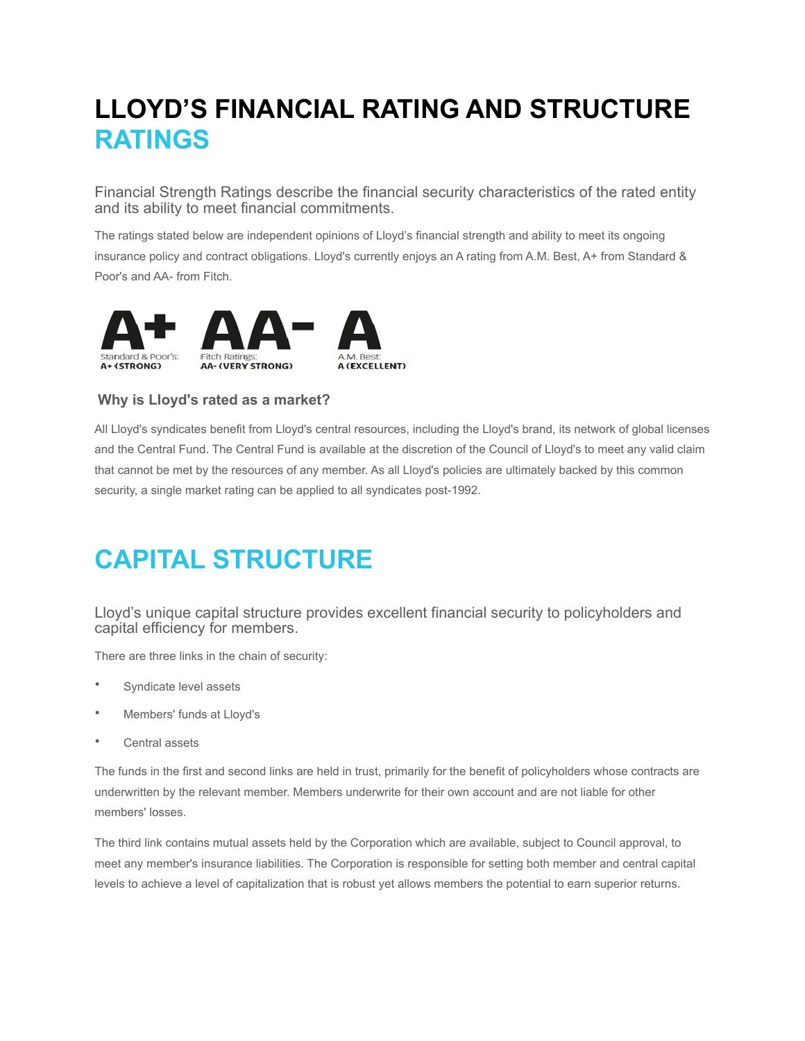# **LLOYD'S FINANCIAL RATING AND STRUCTURE RATINGS**

Financial Strength Ratings describe the financial security characteristics of the rated entity and its ability to meet financial commitments.

The ratings stated below are independent opinions of Lloyd's financial strength and ability to meet its ongoing insurance policy and contract obligations. Lloyd's currently enjoys an A rating from A.M. Best, A+ from Standard & Poor's and AA- from Fitch.



### **Why is Lloyd's rated as a market?**

All Lloyd's syndicates benefit from Lloyd's central resources, including the Lloyd's brand, its network of global licenses and the Central Fund. The Central Fund is available at the discretion of the Council of Lloyd's to meet any valid claim that cannot be met by the resources of any member. As all Lloyd's policies are ultimately backed by this common security, a single market rating can be applied to all syndicates post-1992.

# **CAPITAL STRUCTURE**

Lloyd's unique capital structure provides excellent financial security to policyholders and capital efficiency for members.

There are three links in the chain of security:

- Syndicate level assets
- Members' funds at Lloyd's
- Central assets

The funds in the first and second links are held in trust, primarily for the benefit of policyholders whose contracts are underwritten by the relevant member. Members underwrite for their own account and are not liable for other members' losses.

The third link contains mutual assets held by the Corporation which are available, subject to Council approval, to meet any member's insurance liabilities. The Corporation is responsible for setting both member and central capital levels to achieve a level of capitalization that is robust yet allows members the potential to earn superior returns.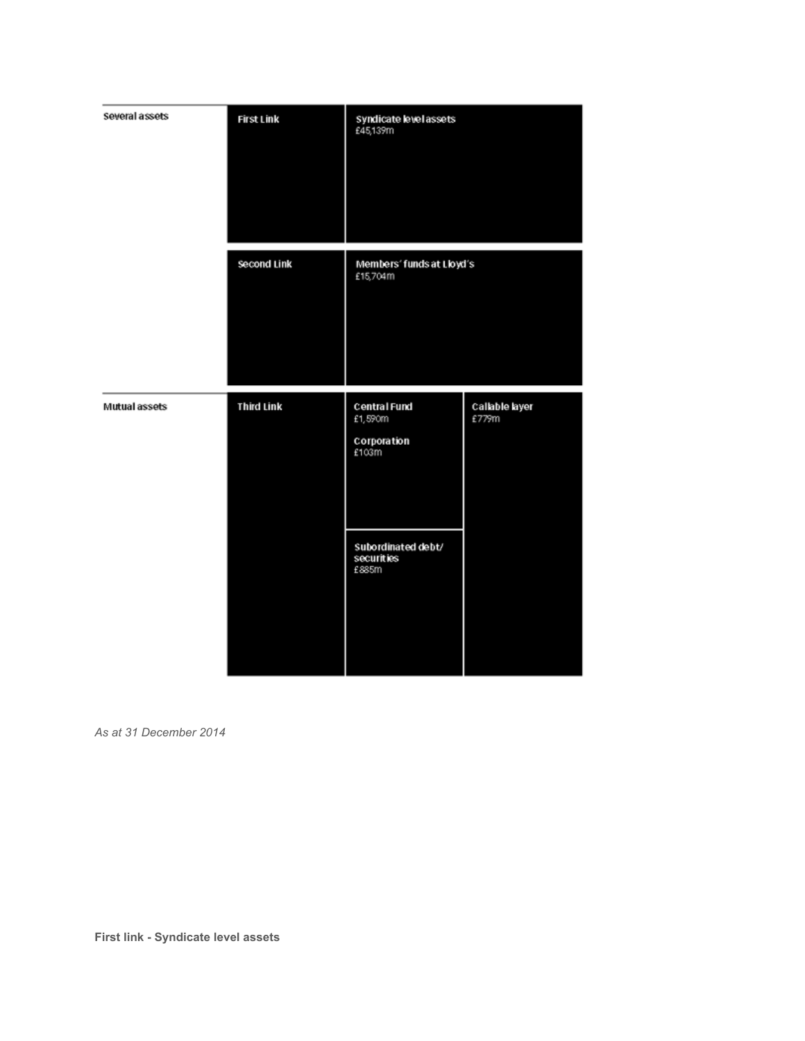| Several assets | First Link        | Syndicate level assets<br>£45,139m              |                         |
|----------------|-------------------|-------------------------------------------------|-------------------------|
|                | Second Link       | Members' funds at Lloyd's<br>£15,704m           |                         |
| Mutual assets  | <b>Third Link</b> | Central Fund<br>£1,590m<br>Corporation<br>£103m | Callable layer<br>£779m |
|                |                   | Subordinated debt/<br>securities<br>£885m       |                         |

*As at 31 December 2014*